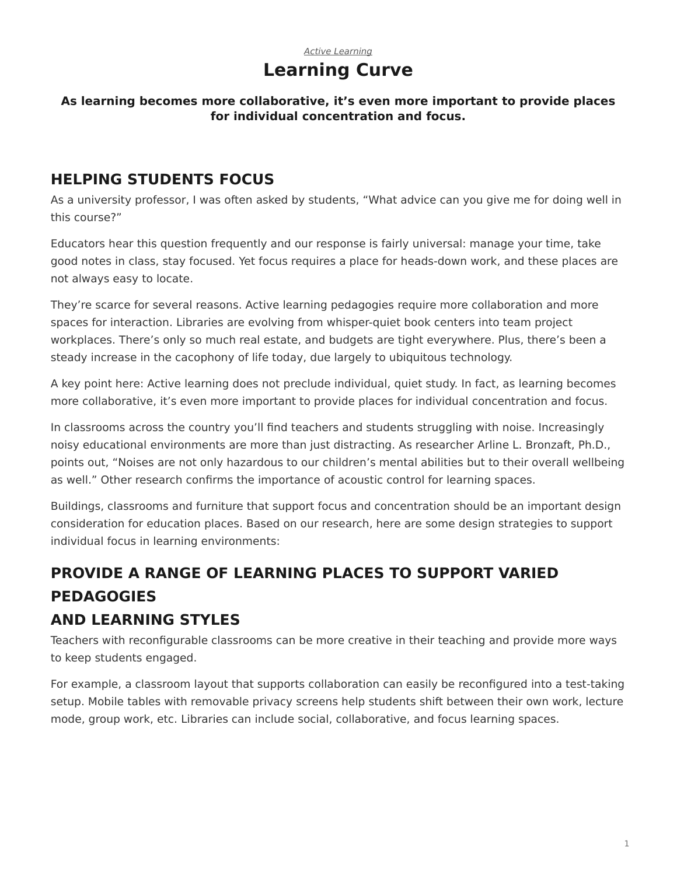#### *[Active Learning](https://www.steelcase.com/asia-en/research/topics/active-learning/)* **Learning Curve**

#### **As learning becomes more collaborative, it's even more important to provide places for individual concentration and focus.**

## **HELPING STUDENTS FOCUS**

As a university professor, I was often asked by students, "What advice can you give me for doing well in this course?"

Educators hear this question frequently and our response is fairly universal: manage your time, take good notes in class, stay focused. Yet focus requires a place for heads-down work, and these places are not always easy to locate.

They're scarce for several reasons. Active learning pedagogies require more collaboration and more spaces for interaction. Libraries are evolving from whisper-quiet book centers into team project workplaces. There's only so much real estate, and budgets are tight everywhere. Plus, there's been a steady increase in the cacophony of life today, due largely to ubiquitous technology.

A key point here: Active learning does not preclude individual, quiet study. In fact, as learning becomes more collaborative, it's even more important to provide places for individual concentration and focus.

In classrooms across the country you'll find teachers and students struggling with noise. Increasingly noisy educational environments are more than just distracting. As researcher Arline L. Bronzaft, Ph.D., points out, "Noises are not only hazardous to our children's mental abilities but to their overall wellbeing as well." Other research confirms the importance of acoustic control for learning spaces.

Buildings, classrooms and furniture that support focus and concentration should be an important design consideration for education places. Based on our research, here are some design strategies to support individual focus in learning environments:

# **PROVIDE A RANGE OF LEARNING PLACES TO SUPPORT VARIED PEDAGOGIES**

### **AND LEARNING STYLES**

Teachers with reconfigurable classrooms can be more creative in their teaching and provide more ways to keep students engaged.

For example, a classroom layout that supports collaboration can easily be reconfigured into a test-taking setup. Mobile tables with removable privacy screens help students shift between their own work, lecture mode, group work, etc. Libraries can include social, collaborative, and focus learning spaces.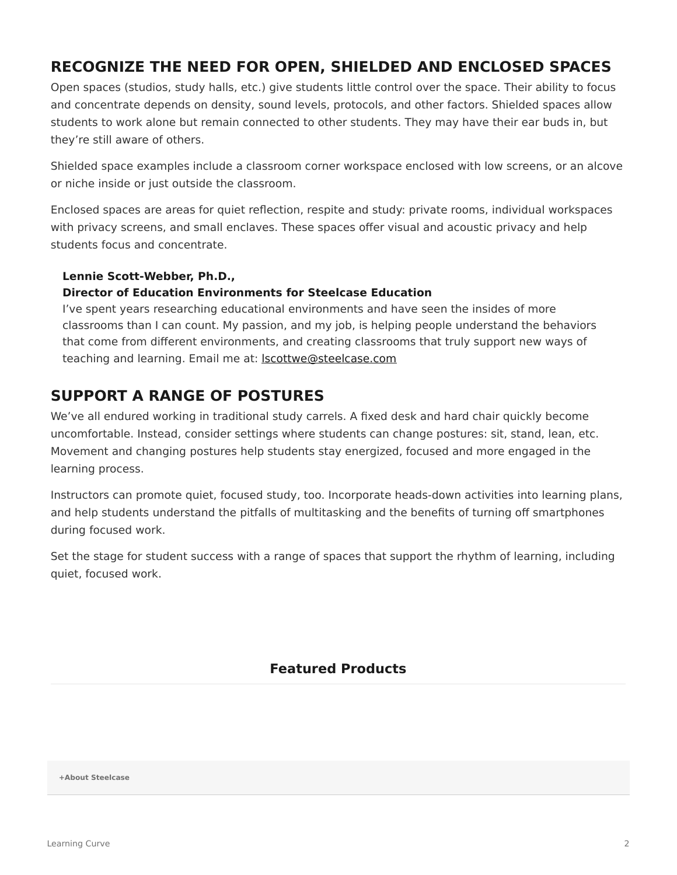## **RECOGNIZE THE NEED FOR OPEN, SHIELDED AND ENCLOSED SPACES**

Open spaces (studios, study halls, etc.) give students little control over the space. Their ability to focus and concentrate depends on density, sound levels, protocols, and other factors. Shielded spaces allow students to work alone but remain connected to other students. They may have their ear buds in, but they're still aware of others.

Shielded space examples include a classroom corner workspace enclosed with low screens, or an alcove or niche inside or just outside the classroom.

Enclosed spaces are areas for quiet reflection, respite and study: private rooms, individual workspaces with privacy screens, and small enclaves. These spaces offer visual and acoustic privacy and help students focus and concentrate.

#### **Lennie Scott-Webber, Ph.D.,**

#### **Director of Education Environments for Steelcase Education**

I've spent years researching educational environments and have seen the insides of more classrooms than I can count. My passion, and my job, is helping people understand the behaviors that come from different environments, and creating classrooms that truly support new ways of teaching and learning. Email me at: **Iscottwe@steelcase.com** 

## **SUPPORT A RANGE OF POSTURES**

We've all endured working in traditional study carrels. A fixed desk and hard chair quickly become uncomfortable. Instead, consider settings where students can change postures: sit, stand, lean, etc. Movement and changing postures help students stay energized, focused and more engaged in the learning process.

Instructors can promote quiet, focused study, too. Incorporate heads-down activities into learning plans, and help students understand the pitfalls of multitasking and the benefits of turning off smartphones during focused work.

Set the stage for student success with a range of spaces that support the rhythm of learning, including quiet, focused work.

#### **Featured Products**

**[+About Steelcase](https://www.steelcase.com/asia-en/about/steelcase/our-company/)**